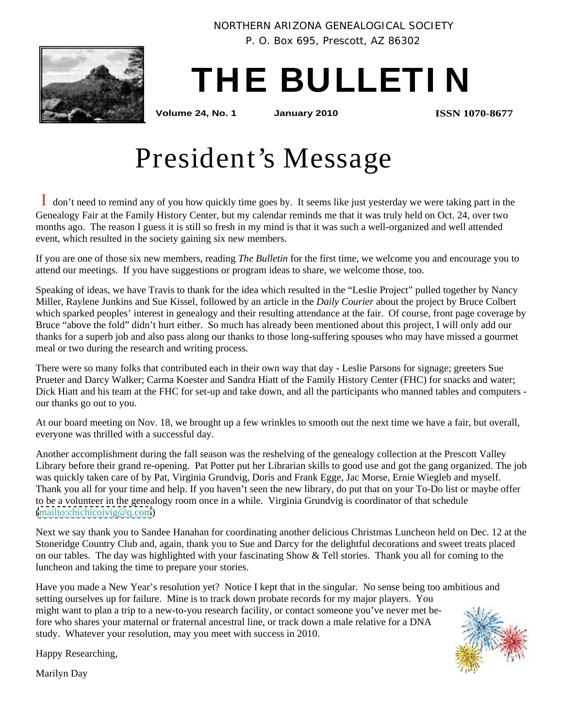

NORTHERN ARIZONA GENEALOGICAL SOCIETY

P. O. Box 695, Prescott, AZ 86302

# **THE BULLETI N**

**Volume 24, No. 1 January 2010**

**ISSN 1070-8677**

## President's Message

I don't need to remind any of you how quickly time goes by. It seems like just yesterday we were taking part in the Genealogy Fair at the Family History Center, but my calendar reminds me that it was truly held on Oct. 24, over two months ago. The reason I guess it is still so fresh in my mind is that it was such a well-organized and well attended event, which resulted in the society gaining six new members.

If you are one of those six new members, reading *The Bulletin* for the first time, we welcome you and encourage you to attend our meetings. If you have suggestions or program ideas to share, we welcome those, too.

Speaking of ideas, we have Travis to thank for the idea which resulted in the "Leslie Project" pulled together by Nancy Miller, Raylene Junkins and Sue Kissel, followed by an article in the *Daily Courier* about the project by Bruce Colbert which sparked peoples' interest in genealogy and their resulting attendance at the fair. Of course, front page coverage by Bruce "above the fold" didn't hurt either. So much has already been mentioned about this project, I will only add our thanks for a superb job and also pass along our thanks to those long-suffering spouses who may have missed a gourmet meal or two during the research and writing process.

There were so many folks that contributed each in their own way that day - Leslie Parsons for signage; greeters Sue Prueter and Darcy Walker; Carma Koester and Sandra Hiatt of the Family History Center (FHC) for snacks and water; Dick Hiatt and his team at the FHC for set-up and take down, and all the participants who manned tables and computers our thanks go out to you.

At our board meeting on Nov. 18, we brought up a few wrinkles to smooth out the next time we have a fair, but overall, everyone was thrilled with a successful day.

Another accomplishment during the fall season was the reshelving of the genealogy collection at the Prescott Valley Library before their grand re-opening. Pat Potter put her Librarian skills to good use and got the gang organized. The job was quickly taken care of by Pat, Virginia Grundvig, Doris and Frank Egge, Jac Morse, Ernie Wiegleb and myself. Thank you all for your time and help. If you haven't seen the new library, do put that on your To-Do list or maybe offer to be a volunteer in the genealogy room once in a while. Virginia Grundvig is coordinator of that schedule [\(mailto:chichicoivig@q.com](mailto:chichicoivig@q.com))

Next we say thank you to Sandee Hanahan for coordinating another delicious Christmas Luncheon held on Dec. 12 at the Stoneridge Country Club and, again, thank you to Sue and Darcy for the delightful decorations and sweet treats placed on our tables. The day was highlighted with your fascinating Show & Tell stories. Thank you all for coming to the luncheon and taking the time to prepare your stories.

Have you made a New Year's resolution yet? Notice I kept that in the singular. No sense being too ambitious and setting ourselves up for failure. Mine is to track down probate records for my major players. You might want to plan a trip to a new-to-you research facility, or contact someone you've never met before who shares your maternal or fraternal ancestral line, or track down a male relative for a DNA study. Whatever your resolution, may you meet with success in 2010.



Happy Researching,

Marilyn Day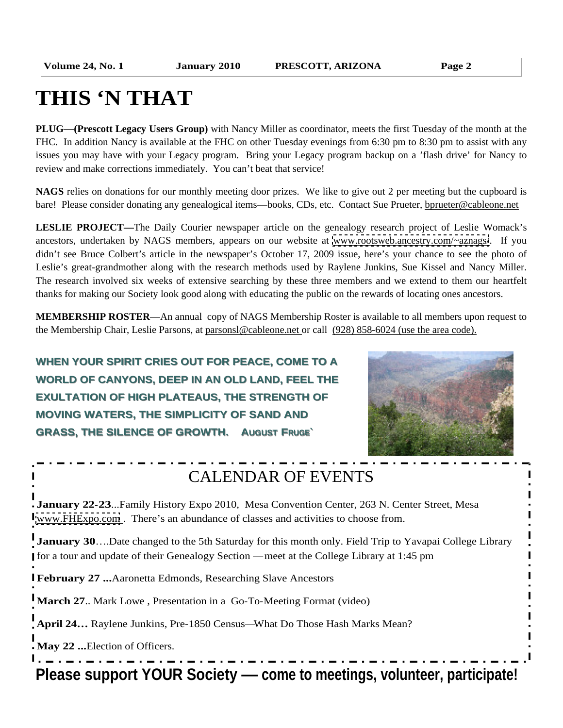## **THIS 'N THAT**

**PLUG—(Prescott Legacy Users Group)** with Nancy Miller as coordinator, meets the first Tuesday of the month at the FHC. In addition Nancy is available at the FHC on other Tuesday evenings from 6:30 pm to 8:30 pm to assist with any issues you may have with your Legacy program. Bring your Legacy program backup on a 'flash drive' for Nancy to review and make corrections immediately. You can't beat that service!

**NAGS** relies on donations for our monthly meeting door prizes. We like to give out 2 per meeting but the cupboard is bare! Please consider donating any genealogical items—books, CDs, etc. Contact Sue Prueter, bprueter@cableone.net

**LESLIE PROJECT—**The Daily Courier newspaper article on the genealogy research project of Leslie Womack's ancestors, undertaken by NAGS members, appears on our website at [www.rootsweb.ancestry.com/~aznags/](http://www.rootsweb.ancestry.com/~aznags/). If you didn't see Bruce Colbert's article in the newspaper's October 17, 2009 issue, here's your chance to see the photo of Leslie's great-grandmother along with the research methods used by Raylene Junkins, Sue Kissel and Nancy Miller. The research involved six weeks of extensive searching by these three members and we extend to them our heartfelt thanks for making our Society look good along with educating the public on the rewards of locating ones ancestors.

**MEMBERSHIP ROSTER**—An annual copy of NAGS Membership Roster is available to all members upon request to the Membership Chair, Leslie Parsons, at parsonsl@cableone.net or call (928) 858-6024 (use the area code).

**WHEN YOUR SPIRIT CRIES OUT FOR PEACE, COME TO A WORLD OF CANYONS, DEEP IN AN OLD LAND, FEEL THE EXULTATION OF HIGH PLATEAUS, THE STRENGTH OF MOVING WATERS, THE SIMPLICITY OF SAND AND GRASS, THE SILENCE OF GROWTH. AUGUST FRUGE`**



## CALENDAR OF EVENTS

**January 22-23**...Family History Expo 2010, Mesa Convention Center, 263 N. Center Street, Mesa [www.FHExpo.com](http://www.FHExpo.com) . There's an abundance of classes and activities to choose from.

**January 30...**Date changed to the 5th Saturday for this month only. Field Trip to Yavapai College Library for a tour and update of their Genealogy Section — meet at the College Library at 1:45 pm

**February 27 ...**Aaronetta Edmonds, Researching Slave Ancestors

**March 27**.. Mark Lowe , Presentation in a Go-To-Meeting Format (video)

**April 24…** Raylene Junkins, Pre-1850 Census—What Do Those Hash Marks Mean?

**May 22 ...**Election of Officers.

**Please support YOUR Society — come to meetings, volunteer, participate!**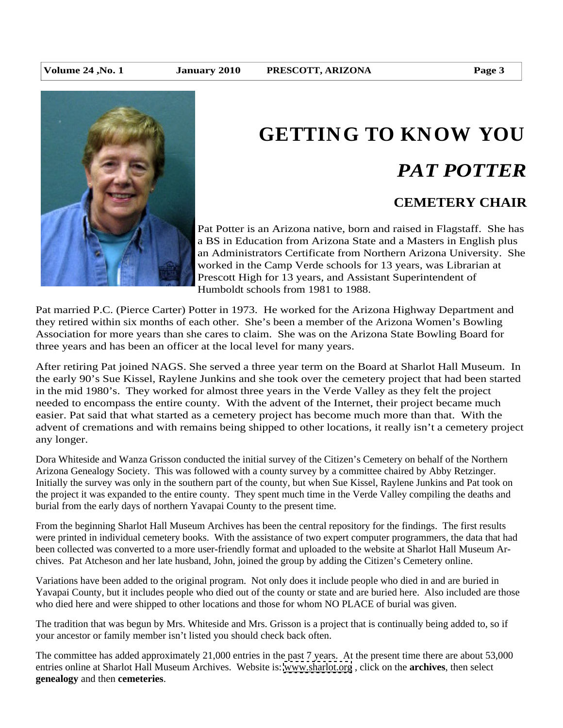

# **GETTING TO KNOW YOU**

## *PAT POTTER*

### **CEMETERY CHAIR**

Pat Potter is an Arizona native, born and raised in Flagstaff. She has a BS in Education from Arizona State and a Masters in English plus an Administrators Certificate from Northern Arizona University. She worked in the Camp Verde schools for 13 years, was Librarian at Prescott High for 13 years, and Assistant Superintendent of Humboldt schools from 1981 to 1988.

Pat married P.C. (Pierce Carter) Potter in 1973. He worked for the Arizona Highway Department and they retired within six months of each other. She's been a member of the Arizona Women's Bowling Association for more years than she cares to claim. She was on the Arizona State Bowling Board for three years and has been an officer at the local level for many years.

After retiring Pat joined NAGS. She served a three year term on the Board at Sharlot Hall Museum. In the early 90's Sue Kissel, Raylene Junkins and she took over the cemetery project that had been started in the mid 1980's. They worked for almost three years in the Verde Valley as they felt the project needed to encompass the entire county. With the advent of the Internet, their project became much easier. Pat said that what started as a cemetery project has become much more than that. With the advent of cremations and with remains being shipped to other locations, it really isn't a cemetery project any longer.

Dora Whiteside and Wanza Grisson conducted the initial survey of the Citizen's Cemetery on behalf of the Northern Arizona Genealogy Society. This was followed with a county survey by a committee chaired by Abby Retzinger. Initially the survey was only in the southern part of the county, but when Sue Kissel, Raylene Junkins and Pat took on the project it was expanded to the entire county. They spent much time in the Verde Valley compiling the deaths and burial from the early days of northern Yavapai County to the present time.

From the beginning Sharlot Hall Museum Archives has been the central repository for the findings. The first results were printed in individual cemetery books. With the assistance of two expert computer programmers, the data that had been collected was converted to a more user-friendly format and uploaded to the website at Sharlot Hall Museum Archives. Pat Atcheson and her late husband, John, joined the group by adding the Citizen's Cemetery online.

Variations have been added to the original program. Not only does it include people who died in and are buried in Yavapai County, but it includes people who died out of the county or state and are buried here. Also included are those who died here and were shipped to other locations and those for whom NO PLACE of burial was given.

The tradition that was begun by Mrs. Whiteside and Mrs. Grisson is a project that is continually being added to, so if your ancestor or family member isn't listed you should check back often.

The committee has added approximately 21,000 entries in the past 7 years. At the present time there are about 53,000 entries online at Sharlot Hall Museum Archives. Website is: [www.sharlot.org](http://www.sharlot.org) , click on the **archives**, then select **genealogy** and then **cemeteries**.